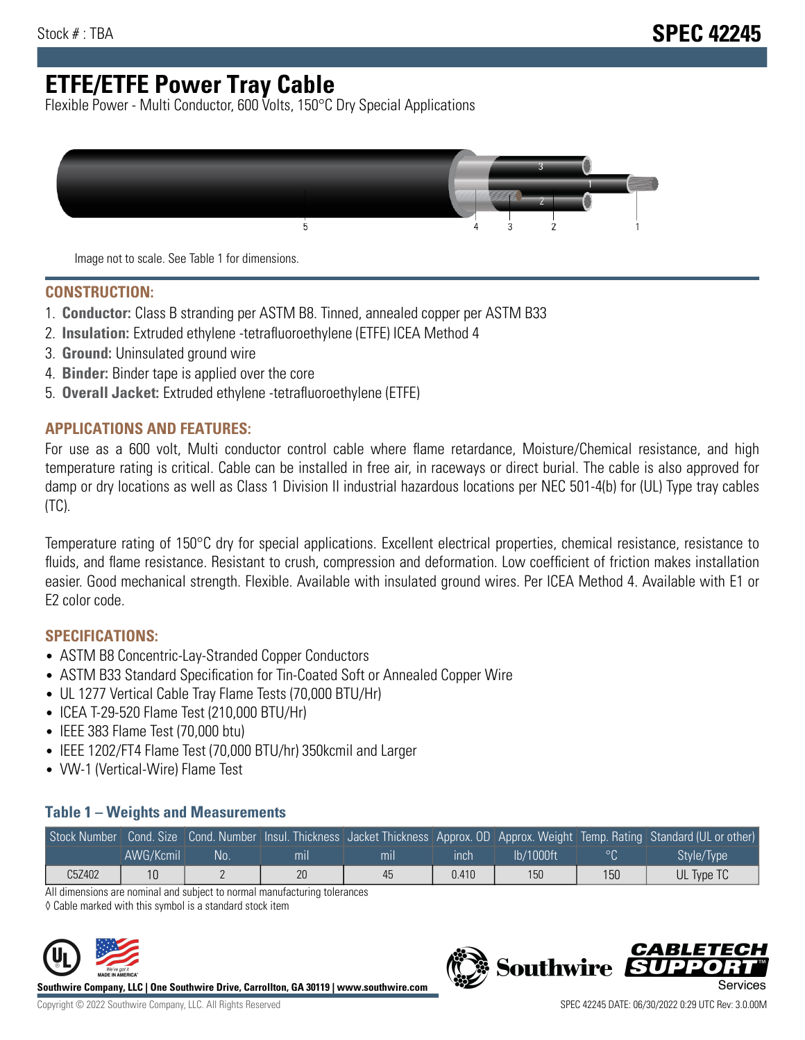# **ETFE/ETFE Power Tray Cable**

Flexible Power - Multi Conductor, 600 Volts, 150°C Dry Special Applications



Image not to scale. See Table 1 for dimensions.

#### **CONSTRUCTION:**

- 1. **Conductor:** Class B stranding per ASTM B8. Tinned, annealed copper per ASTM B33
- 2. **Insulation:** Extruded ethylene -tetrafluoroethylene (ETFE) ICEA Method 4
- 3. **Ground:** Uninsulated ground wire
- 4. **Binder:** Binder tape is applied over the core
- 5. **Overall Jacket:** Extruded ethylene -tetrafluoroethylene (ETFE)

### **APPLICATIONS AND FEATURES:**

For use as a 600 volt, Multi conductor control cable where flame retardance, Moisture/Chemical resistance, and high temperature rating is critical. Cable can be installed in free air, in raceways or direct burial. The cable is also approved for damp or dry locations as well as Class 1 Division II industrial hazardous locations per NEC 501-4(b) for (UL) Type tray cables (TC).

Temperature rating of 150°C dry for special applications. Excellent electrical properties, chemical resistance, resistance to fluids, and flame resistance. Resistant to crush, compression and deformation. Low coefficient of friction makes installation easier. Good mechanical strength. Flexible. Available with insulated ground wires. Per ICEA Method 4. Available with E1 or E2 color code.

## **SPECIFICATIONS:**

- ASTM B8 Concentric-Lay-Stranded Copper Conductors
- ASTM B33 Standard Specification for Tin-Coated Soft or Annealed Copper Wire
- UL 1277 Vertical Cable Tray Flame Tests (70,000 BTU/Hr)
- ICEA T-29-520 Flame Test (210,000 BTU/Hr)
- IEEE 383 Flame Test (70,000 btu)
- IEEE 1202/FT4 Flame Test (70,000 BTU/hr) 350kcmil and Larger
- VW-1 (Vertical-Wire) Flame Test

### **Table 1 – Weights and Measurements**

|        |           |     |     |     |       |           |                  | Stock Number Cond. Size Cond. Number Insul. Thickness Jacket Thickness Approx. OD Approx. Weight Temp. Rating Standard (UL or other) |
|--------|-----------|-----|-----|-----|-------|-----------|------------------|--------------------------------------------------------------------------------------------------------------------------------------|
|        | AWG/Kcmil | :No | mıl | mil | inch  | lb/1000ft | $\circ$ $\cap$   | Style/Type                                                                                                                           |
| C5Z402 | 10        |     | 20  | 45  | 0.410 | 150       | 150 <sub>1</sub> | UL Type TC                                                                                                                           |

All dimensions are nominal and subject to normal manufacturing tolerances

◊ Cable marked with this symbol is a standard stock item



**Southwire Company, LLC | One Southwire Drive, Carrollton, GA 30119 | www.southwire.com**



**Southwire** 

CARLET